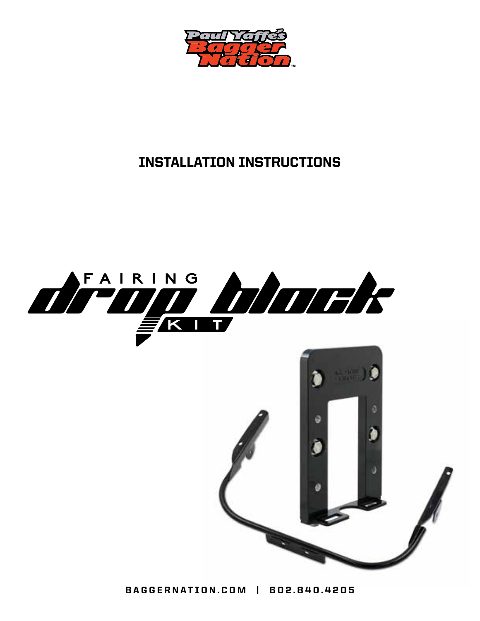

## INSTALLATION INSTRUCTIONS



 $\mathscr{I}$ 

BAGGERNATION.COM | 602.840.4205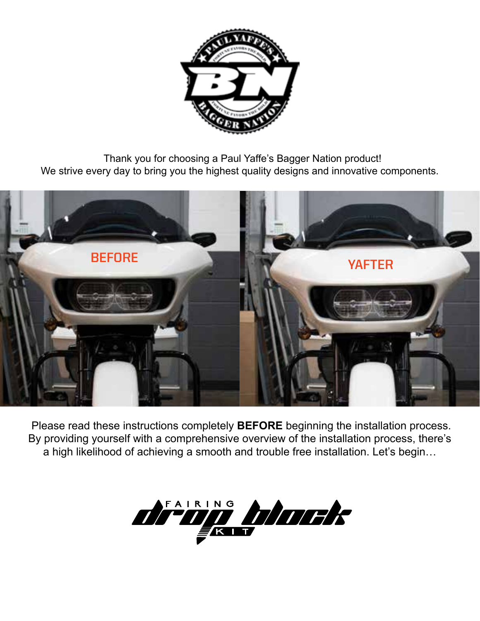

 Thank you for choosing a Paul Yaffe's Bagger Nation product! We strive every day to bring you the highest quality designs and innovative components.



 Please read these instructions completely **BEFORE** beginning the installation process. By providing yourself with a comprehensive overview of the installation process, there's a high likelihood of achieving a smooth and trouble free installation. Let's begin…

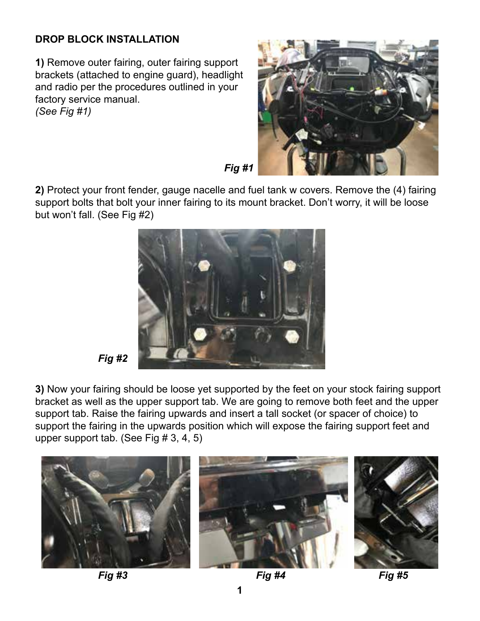## **DROP BLOCK INSTALLATION**

**1)** Remove outer fairing, outer fairing support brackets (attached to engine guard), headlight and radio per the procedures outlined in your factory service manual. *(See Fig #1)*



*Fig #1*

**2)** Protect your front fender, gauge nacelle and fuel tank w covers. Remove the (4) fairing support bolts that bolt your inner fairing to its mount bracket. Don't worry, it will be loose but won't fall. (See Fig #2)





**3)** Now your fairing should be loose yet supported by the feet on your stock fairing support bracket as well as the upper support tab. We are going to remove both feet and the upper support tab. Raise the fairing upwards and insert a tall socket (or spacer of choice) to support the fairing in the upwards position which will expose the fairing support feet and upper support tab. (See Fig # 3, 4, 5)



*Fig #3 Fig #4 Fig #5*

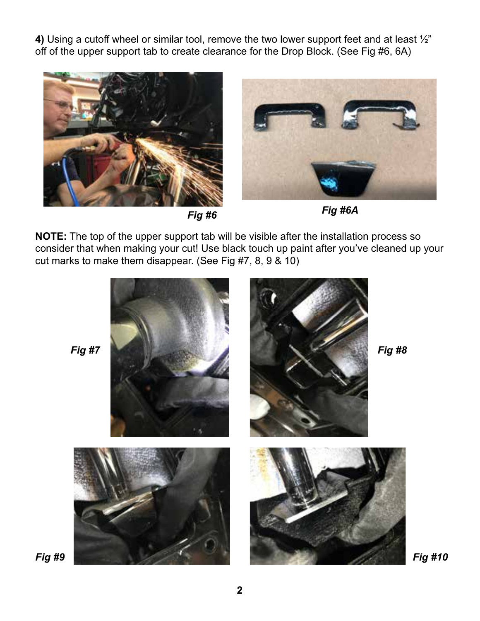**4)** Using a cutoff wheel or similar tool, remove the two lower support feet and at least ½" off of the upper support tab to create clearance for the Drop Block. (See Fig #6, 6A)



*Fig #6*



**NOTE:** The top of the upper support tab will be visible after the installation process so consider that when making your cut! Use black touch up paint after you've cleaned up your cut marks to make them disappear. (See Fig #7, 8, 9 & 10)

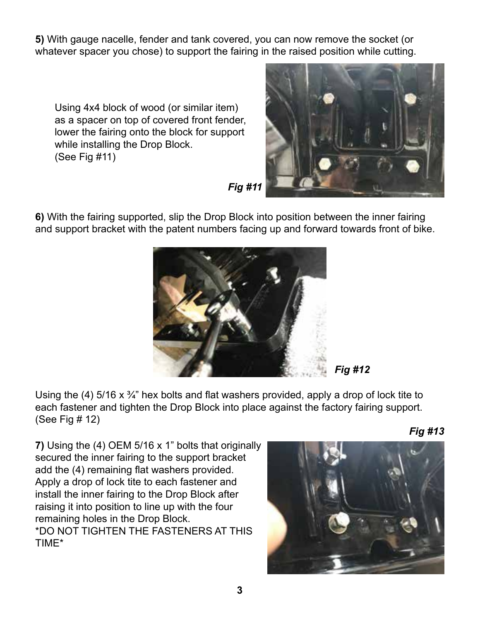**5)** With gauge nacelle, fender and tank covered, you can now remove the socket (or whatever spacer you chose) to support the fairing in the raised position while cutting.

Using 4x4 block of wood (or similar item) as a spacer on top of covered front fender, lower the fairing onto the block for support while installing the Drop Block. (See Fig #11)



*Fig #11*

**6)** With the fairing supported, slip the Drop Block into position between the inner fairing and support bracket with the patent numbers facing up and forward towards front of bike.



*Fig #12*

Using the (4) 5/16 x  $\frac{3}{4}$ " hex bolts and flat washers provided, apply a drop of lock tite to each fastener and tighten the Drop Block into place against the factory fairing support. (See Fig # 12)

**7)** Using the (4) OEM 5/16 x 1" bolts that originally secured the inner fairing to the support bracket add the (4) remaining flat washers provided. Apply a drop of lock tite to each fastener and install the inner fairing to the Drop Block after raising it into position to line up with the four remaining holes in the Drop Block. \*DO NOT TIGHTEN THE FASTENERS AT THIS TIME\*



*Fig #13*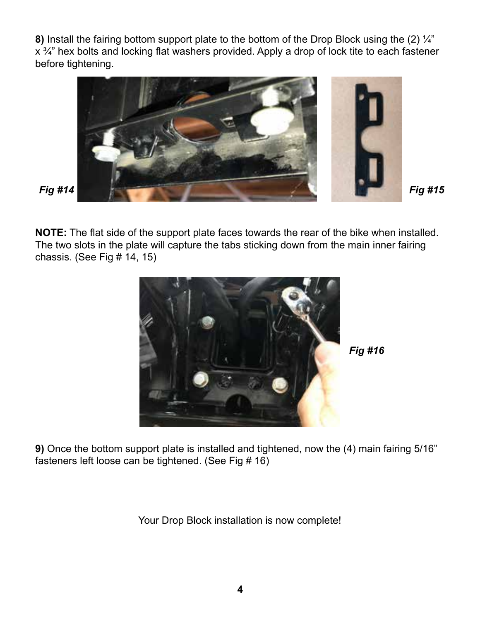**8)** Install the fairing bottom support plate to the bottom of the Drop Block using the (2) ¼" x <sup>3</sup>/4" hex bolts and locking flat washers provided. Apply a drop of lock tite to each fastener before tightening.



**NOTE:** The flat side of the support plate faces towards the rear of the bike when installed. The two slots in the plate will capture the tabs sticking down from the main inner fairing chassis. (See Fig # 14, 15)



*Fig #16*

**9)** Once the bottom support plate is installed and tightened, now the (4) main fairing 5/16" fasteners left loose can be tightened. (See Fig # 16)

Your Drop Block installation is now complete!